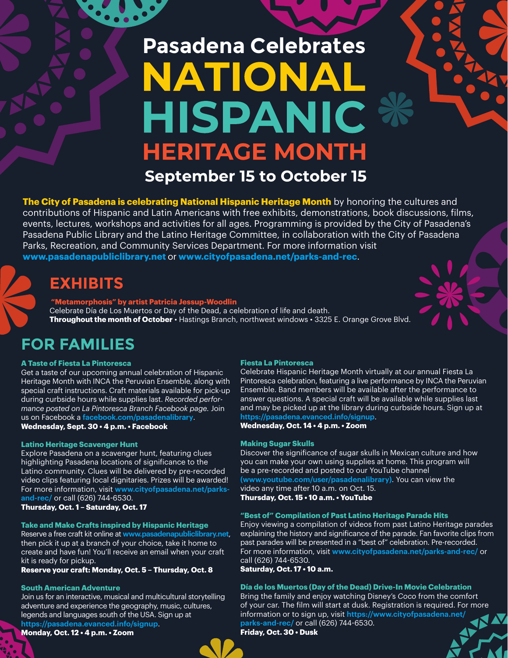# **Pasadena Celebrates** NATIONA **HISPANIC HERITAGE MONTH**

**September 15 to October 15** 

**The City of Pasadena is celebrating National Hispanic Heritage Month** by honoring the cultures and contributions of Hispanic and Latin Americans with free exhibits, demonstrations, book discussions, films, events, lectures, workshops and activities for all ages. Programming is provided by the City of Pasadena's Pasadena Public Library and the Latino Heritage Committee, in collaboration with the City of Pasadena Parks, Recreation, and Community Services Department. For more information visit **www.pasadenapubliclibrary.net** or **www.cityofpasadena.net/parks-and-rec**.

### **EXHIBITS**

 **"Metamorphosis" by artist Patricia Jessup-Woodlin**  Celebrate Día de Los Muertos or Day of the Dead, a celebration of life and death. **Throughout the month of October** • Hastings Branch, northwest windows • 3325 E. Orange Grove Blvd.

# **FOR FAMILIES**

### **A Taste of Fiesta La Pintoresca**

Get a taste of our upcoming annual celebration of Hispanic Heritage Month with INCA the Peruvian Ensemble, along with special craft instructions. Craft materials available for pick-up during curbside hours while supplies last. *Recorded performance posted on La Pintoresca Branch Facebook page.* Join us on Facebook a **facebook.com/pasadenalibrary**. **Wednesday, Sept. 30 • 4 p.m. • Facebook** 

### **Latino Heritage Scavenger Hunt**

Explore Pasadena on a scavenger hunt, featuring clues highlighting Pasadena locations of significance to the Latino community. Clues will be delivered by pre-recorded video clips featuring local dignitaries. Prizes will be awarded! For more information, visit **www.cityofpasadena.net/parksand-rec/** or call (626) 744-6530.

**Thursday, Oct. 1 – Saturday, Oct. 17**

### **Take and Make Crafts inspired by Hispanic Heritage**

Reserve a free craft kit online at **www.pasadenapubliclibrary.net**, then pick it up at a branch of your choice, take it home to create and have fun! You'll receive an email when your craft kit is ready for pickup.

**Reserve your craft: Monday, Oct. 5 – Thursday, Oct. 8** 

### **South American Adventure**

Join us for an interactive, musical and multicultural storytelling adventure and experience the geography, music, cultures, legends and languages south of the USA. Sign up at **https://pasadena.evanced.info/signup**.

**Monday, Oct. 12 • 4 p.m. • Zoom** 



Celebrate Hispanic Heritage Month virtually at our annual Fiesta La Pintoresca celebration, featuring a live performance by INCA the Peruvian Ensemble. Band members will be available after the performance to answer questions. A special craft will be available while supplies last and may be picked up at the library during curbside hours. Sign up at **https://pasadena.evanced.info/signup**.

**Wednesday, Oct. 14 • 4 p.m. • Zoom** 

### **Making Sugar Skulls**

Discover the significance of sugar skulls in Mexican culture and how you can make your own using supplies at home. This program will be a pre-recorded and posted to our YouTube channel **(www.youtube.com/user/pasadenalibrary)**. You can view the video any time after 10 a.m. on Oct. 15.

**Thursday, Oct. 15 • 10 a.m. • YouTube** 

### **"Best of" Compilation of Past Latino Heritage Parade Hits**

Enjoy viewing a compilation of videos from past Latino Heritage parades explaining the history and significance of the parade. Fan favorite clips from past parades will be presented in a "best of" celebration. Pre-recorded. For more information, visit **www.cityofpasadena.net/parks-and-rec/** or call (626) 744-6530.

**Saturday, Oct. 17 • 10 a.m.** 

### **Día de los Muertos (Day of the Dead) Drive-In Movie Celebration**

Bring the family and enjoy watching Disney's *Coco* from the comfort of your car. The film will start at dusk. Registration is required. For more information or to sign up, visit **https://www.cityofpasadena.net/ parks-and-rec/** or call (626) 744-6530.

**Friday, Oct. 30 • Dusk**

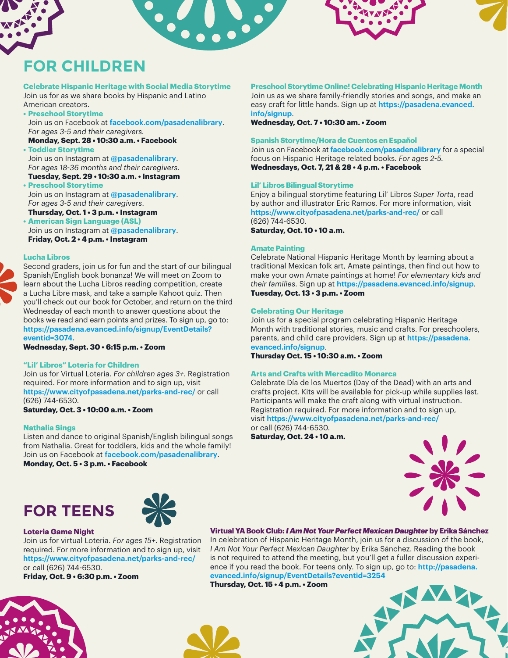## **FOR CHILDREN**

### **Celebrate Hispanic Heritage with Social Media Storytime**

Join us for as we share books by Hispanic and Latino American creators.

### **• Preschool Storytime**

 Join us on Facebook at **facebook.com/pasadenalibrary**. *For ages 3-5 and their caregivers.*

**Monday, Sept. 28 • 10:30 a.m. • Facebook • Toddler Storytime**

Join us on Instagram at **@pasadenalibrary**. *For ages 18-36 months and their caregivers*.

**Tuesday, Sept. 29 • 10:30 a.m. • Instagram • Preschool Storytime** Join us on Instagram at **@pasadenalibrary**. *For ages 3-5 and their caregivers*.

**Thursday, Oct. 1 • 3 p.m. • Instagram**

**• American Sign Language (ASL)** Join us on Instagram at **@pasadenalibrary**. **Friday, Oct. 2 • 4 p.m. • Instagram**

### **Lucha Libros**



Second graders, join us for fun and the start of our bilingual Spanish/English book bonanza! We will meet on Zoom to learn about the Lucha Libros reading competition, create a Lucha Libre mask, and take a sample Kahoot quiz. Then you'll check out our book for October, and return on the third Wednesday of each month to answer questions about the books we read and earn points and prizes. To sign up, go to: **https://pasadena.evanced.info/signup/EventDetails? eventid=3074.**

**Wednesday, Sept. 30 • 6:15 p.m. • Zoom**

### **"Lil' Libros" Loteria for Children**

Join us for Virtual Loteria. *For children ages 3+*. Registration required. For more information and to sign up, visit **https://www.cityofpasadena.net/parks-and-rec/** or call (626) 744-6530.

**Saturday, Oct. 3 • 10:00 a.m. • Zoom**

### **Nathalia Sings**

Listen and dance to original Spanish/English bilingual songs from Nathalia. Great for toddlers, kids and the whole family! Join us on Facebook at **facebook.com/pasadenalibrary**. **Monday, Oct. 5 • 3 p.m. • Facebook**

### **Preschool Storytime Online! Celebrating Hispanic Heritage Month**

Join us as we share family-friendly stories and songs, and make an easy craft for little hands. Sign up at **https://pasadena.evanced. info/signup**.

**Wednesday, Oct. 7 • 10:30 am. • Zoom**

### **Spanish Storytime/Hora de Cuentos en Español**

Join us on Facebook at **facebook.com/pasadenalibrary** for a special focus on Hispanic Heritage related books. *For ages 2-5.* **Wednesdays, Oct. 7, 21 & 28 • 4 p.m. • Facebook**

### **Lil' Libros Bilingual Storytime**

Enjoy a bilingual storytime featuring Lil' Libros *Super Torta*, read by author and illustrator Eric Ramos. For more information, visit **https://www.cityofpasadena.net/parks-and-rec/** or call (626) 744-6530. **Saturday, Oct. 10 • 10 a.m.** 

**Amate Painting**

Celebrate National Hispanic Heritage Month by learning about a traditional Mexican folk art, Amate paintings, then find out how to make your own Amate paintings at home! *For elementary kids and their families*. Sign up at **https://pasadena.evanced.info/signup**. **Tuesday, Oct. 13 • 3 p.m. • Zoom**

### **Celebrating Our Heritage**

Join us for a special program celebrating Hispanic Heritage Month with traditional stories, music and crafts. For preschoolers, parents, and child care providers. Sign up at **https://pasadena. evanced.info/signup**.

**Thursday Oct. 15 • 10:30 a.m. • Zoom**

### **Arts and Crafts with Mercadito Monarca**

Celebrate Día de los Muertos (Day of the Dead) with an arts and crafts project. Kits will be available for pick-up while supplies last. Participants will make the craft along with virtual instruction. Registration required. For more information and to sign up, visit **https://www.cityofpasadena.net/parks-and-rec/** or call (626) 744-6530.

**Saturday, Oct. 24 • 10 a.m.**







### **Loteria Game Night**

Join us for virtual Loteria. *For ages 15+*. Registration required. For more information and to sign up, visit **https://www.cityofpasadena.net/parks-and-rec/** or call (626) 744-6530.

**Friday, Oct. 9 • 6:30 p.m. • Zoom** 

### **Virtual YA Book Club:** *I Am Not Your Perfect Mexican Daughter* **by Erika Sánchez**

In celebration of Hispanic Heritage Month, join us for a discussion of the book, *I Am Not Your Perfect Mexican Daughter* by Erika Sánchez. Reading the book is not required to attend the meeting, but you'll get a fuller discussion experience if you read the book. For teens only. To sign up, go to: **http://pasadena. evanced.info/signup/EventDetails?eventid=3254**

**Thursday, Oct. 15 • 4 p.m. • Zoom**





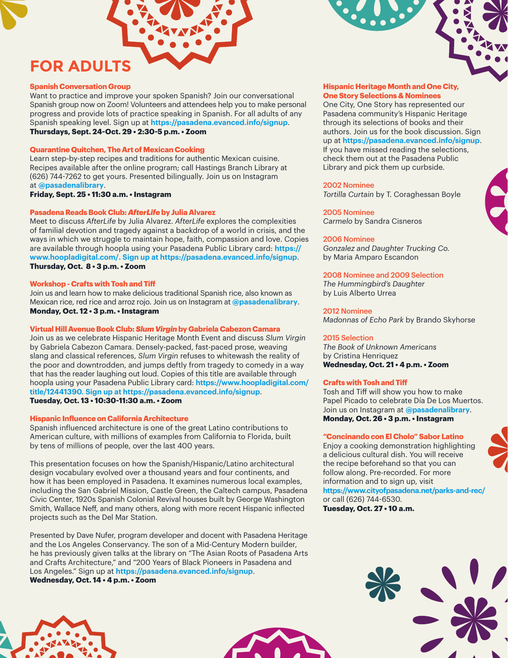### **FOR ADULTS**

### **Spanish Conversation Group**

Want to practice and improve your spoken Spanish? Join our conversational Spanish group now on Zoom! Volunteers and attendees help you to make personal progress and provide lots of practice speaking in Spanish. For all adults of any Spanish speaking level. Sign up at **https://pasadena.evanced.info/signup**. **Thursdays, Sept. 24-Oct. 29 • 2:30-5 p.m. • Zoom**

### **Quarantine Quitchen, The Art of Mexican Cooking**

Learn step-by-step recipes and traditions for authentic Mexican cuisine. Recipes available after the online program; call Hastings Branch Library at (626) 744-7262 to get yours. Presented bilingually. Join us on Instagram at **@pasadenalibrary**.

**Friday, Sept. 25 • 11:30 a.m. • Instagram**

### **Pasadena Reads Book Club:** *AfterLife* **by Julia Alvarez**

Meet to discuss *AfterLife* by Julia Alvarez. *AfterLife* explores the complexities of familial devotion and tragedy against a backdrop of a world in crisis, and the ways in which we struggle to maintain hope, faith, compassion and love. Copies are available through hoopla using your Pasadena Public Library card: **https:// www.hoopladigital.com/. Sign up at https://pasadena.evanced.info/signup**. **Thursday, Oct. 8 • 3 p.m. • Zoom**

#### **Workshop - Crafts with Tosh and Tiff**

Join us and learn how to make delicious traditional Spanish rice, also known as Mexican rice, red rice and arroz rojo. Join us on Instagram at **@pasadenalibrary**. **Monday, Oct. 12 • 3 p.m. • Instagram**

### **Virtual Hill Avenue Book Club:** *Slum Virgin* **by Gabriela Cabezon Camara**

Join us as we celebrate Hispanic Heritage Month Event and discuss *Slum Virgin* by Gabriela Cabezon Camara. Densely-packed, fast-paced prose, weaving slang and classical references, *Slum Virgin* refuses to whitewash the reality of the poor and downtrodden, and jumps deftly from tragedy to comedy in a way that has the reader laughing out loud. Copies of this title are available through hoopla using your Pasadena Public Library card: **https://www.hoopladigital.com/ title/12441390. Sign up at https://pasadena.evanced.info/signup**. **Tuesday, Oct. 13 • 10:30-11:30 a.m. • Zoom**

#### **Hispanic Influence on California Architecture**

Spanish influenced architecture is one of the great Latino contributions to American culture, with millions of examples from California to Florida, built by tens of millions of people, over the last 400 years.

This presentation focuses on how the Spanish/Hispanic/Latino architectural design vocabulary evolved over a thousand years and four continents, and how it has been employed in Pasadena. It examines numerous local examples, including the San Gabriel Mission, Castle Green, the Caltech campus, Pasadena Civic Center, 1920s Spanish Colonial Revival houses built by George Washington Smith, Wallace Neff, and many others, along with more recent Hispanic inflected projects such as the Del Mar Station.

Presented by Dave Nufer, program developer and docent with Pasadena Heritage and the Los Angeles Conservancy. The son of a Mid-Century Modern builder, he has previously given talks at the library on "The Asian Roots of Pasadena Arts and Crafts Architecture," and "200 Years of Black Pioneers in Pasadena and Los Angeles." Sign up at **https://pasadena.evanced.info/signup**. **Wednesday, Oct. 14 • 4 p.m. • Zoom**

### **Hispanic Heritage Month and One City, One Story Selections & Nominees**

One City, One Story has represented our Pasadena community's Hispanic Heritage through its selections of books and their authors. Join us for the book discussion. Sign up at **https://pasadena.evanced.info/signup**. If you have missed reading the selections, check them out at the Pasadena Public Library and pick them up curbside.

### 2002 Nominee

*Tortilla Curtain* by T. Coraghessan Boyle

2005 Nominee *Carmelo* by Sandra Cisneros

### 2006 Nominee

*Gonzalez and Daughter Trucking Co.*  by Maria Amparo Escandon

### 2008 Nominee and 2009 Selection

*The Hummingbird's Daughter*  by Luis Alberto Urrea

### 2012 Nominee

*Madonnas of Echo Park* by Brando Skyhorse

### 2015 Selection

*The Book of Unknown Americans* by Cristina Henriquez **Wednesday, Oct. 21 • 4 p.m. • Zoom**

#### **Crafts with Tosh and Tiff**

Tosh and Tiff will show you how to make Papel Picado to celebrate Día De Los Muertos. Join us on Instagram at **@pasadenalibrary**. **Monday, Oct. 26 • 3 p.m. • Instagram**

#### **"Concinando con El Cholo" Sabor Latino**

Enjoy a cooking demonstration highlighting a delicious cultural dish. You will receive the recipe beforehand so that you can follow along. Pre-recorded. For more information and to sign up, visit **https://www.cityofpasadena.net/parks-and-rec/**  or call (626) 744-6530. **Tuesday, Oct. 27 • 10 a.m.**